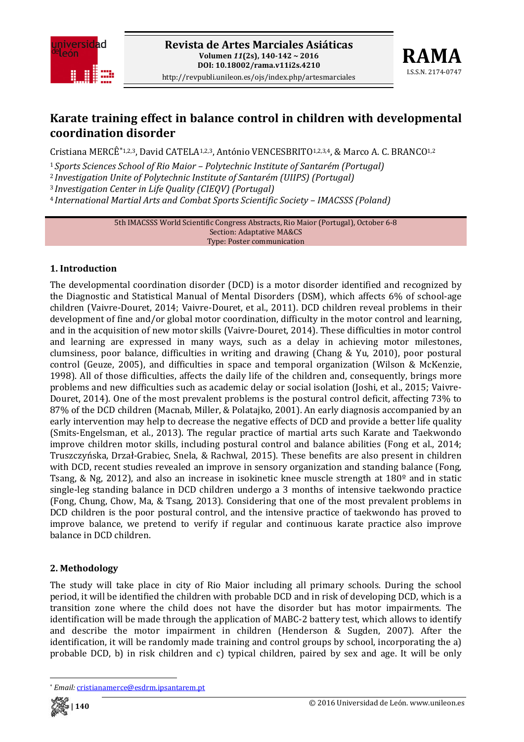



## **Karate training effect in balance control in children with developmental coordination disorder**

Cristiana MERCÊ\*1,2,3, David CATELA1,2,3, António VENCESBRITO1,2,3,4, & Marco A. C. BRANCO1,2

<sup>1</sup>*Sports Sciences School of Rio Maior – Polytechnic Institute of Santarém (Portugal)*

<sup>2</sup>*Investigation Unite of Polytechnic Institute of Santarém (UIIPS) (Portugal)*

<sup>3</sup>*Investigation Center in Life Quality (CIEQV) (Portugal)*

<sup>4</sup>*International Martial Arts and Combat Sports Scientific Society – IMACSSS (Poland)*

5th IMACSSS World Scientific Congress Abstracts, Rio Maior (Portugal), October 6‐8 Section: Adaptative MA&CS Type: Poster communication

## **1. Introduction**

The developmental coordination disorder (DCD) is a motor disorder identified and recognized by the Diagnostic and Statistical Manual of Mental Disorders (DSM), which affects 6% of school‐age children (Vaivre‐Douret, 2014; Vaivre‐Douret, et al., 2011). DCD children reveal problems in their development of fine and/or global motor coordination, difficulty in the motor control and learning, and in the acquisition of new motor skills (Vaivre‐Douret, 2014). These difficulties in motor control and learning are expressed in many ways, such as a delay in achieving motor milestones, clumsiness, poor balance, difficulties in writing and drawing (Chang & Yu, 2010), poor postural control (Geuze, 2005), and difficulties in space and temporal organization (Wilson & McKenzie, 1998). All of those difficulties, affects the daily life of the children and, consequently, brings more problems and new difficulties such as academic delay or social isolation (Joshi, et al., 2015; Vaivre-Douret, 2014). One of the most prevalent problems is the postural control deficit, affecting 73% to 87% of the DCD children (Macnab, Miller, & Polatajko, 2001). An early diagnosis accompanied by an early intervention may help to decrease the negative effects of DCD and provide a better life quality (Smits‐Engelsman, et al., 2013). The regular practice of martial arts such Karate and Taekwondo improve children motor skills, including postural control and balance abilities (Fong et al., 2014; Truszczyńska, Drzał‐Grabiec, Snela, & Rachwal, 2015). These benefits are also present in children with DCD, recent studies revealed an improve in sensory organization and standing balance (Fong, Tsang, & Ng, 2012), and also an increase in isokinetic knee muscle strength at 180º and in static single-leg standing balance in DCD children undergo a 3 months of intensive taekwondo practice (Fong, Chung, Chow, Ma, & Tsang, 2013). Considering that one of the most prevalent problems in DCD children is the poor postural control, and the intensive practice of taekwondo has proved to improve balance, we pretend to verify if regular and continuous karate practice also improve balance in DCD children.

## **2. Methodology**

The study will take place in city of Rio Maior including all primary schools. During the school period, it will be identified the children with probable DCD and in risk of developing DCD, which is a transition zone where the child does not have the disorder but has motor impairments. The identification will be made through the application of MABC‐2 battery test, which allows to identify and describe the motor impairment in children (Henderson & Sugden, 2007). After the identification, it will be randomly made training and control groups by school, incorporating the a) probable DCD, b) in risk children and c) typical children, paired by sex and age. It will be only

<sup>\*</sup> *Email:* cristianamerce@esdrm.ipsantarem.pt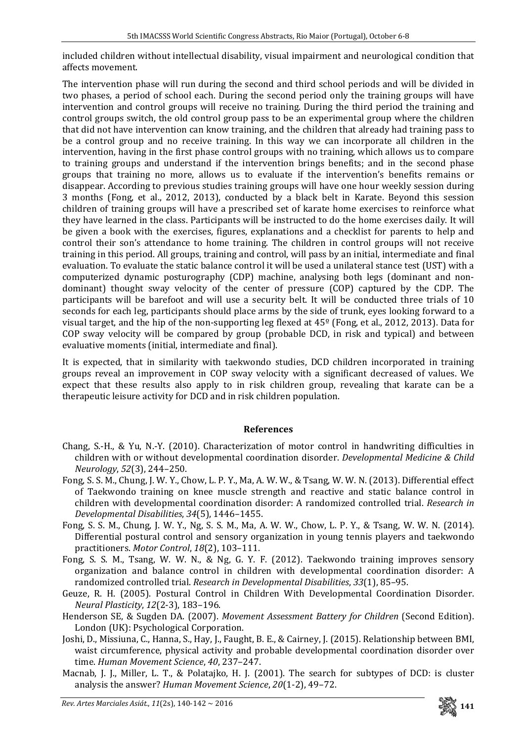included children without intellectual disability, visual impairment and neurological condition that affects movement.

The intervention phase will run during the second and third school periods and will be divided in two phases, a period of school each. During the second period only the training groups will have intervention and control groups will receive no training. During the third period the training and control groups switch, the old control group pass to be an experimental group where the children that did not have intervention can know training, and the children that already had training pass to be a control group and no receive training. In this way we can incorporate all children in the intervention, having in the first phase control groups with no training, which allows us to compare to training groups and understand if the intervention brings benefits; and in the second phase groups that training no more, allows us to evaluate if the intervention's benefits remains or disappear. According to previous studies training groups will have one hour weekly session during 3 months (Fong, et al., 2012, 2013), conducted by a black belt in Karate. Beyond this session children of training groups will have a prescribed set of karate home exercises to reinforce what they have learned in the class. Participants will be instructed to do the home exercises daily. It will be given a book with the exercises, figures, explanations and a checklist for parents to help and control their son's attendance to home training. The children in control groups will not receive training in this period. All groups, training and control, will pass by an initial, intermediate and final evaluation. To evaluate the static balance control it will be used a unilateral stance test (UST) with a computerized dynamic posturography (CDP) machine, analysing both legs (dominant and non‐ dominant) thought sway velocity of the center of pressure (COP) captured by the CDP. The participants will be barefoot and will use a security belt. It will be conducted three trials of 10 seconds for each leg, participants should place arms by the side of trunk, eyes looking forward to a visual target, and the hip of the non‐supporting leg flexed at 45º (Fong, et al., 2012, 2013). Data for COP sway velocity will be compared by group (probable DCD, in risk and typical) and between evaluative moments (initial, intermediate and final).

It is expected, that in similarity with taekwondo studies, DCD children incorporated in training groups reveal an improvement in COP sway velocity with a significant decreased of values. We expect that these results also apply to in risk children group, revealing that karate can be a therapeutic leisure activity for DCD and in risk children population.

## **References**

- Chang, S.‐H., & Yu, N.‐Y. (2010). Characterization of motor control in handwriting difficulties in children with or without developmental coordination disorder. *Developmental Medicine & Child Neurology*, *52*(3), 244–250.
- Fong, S. S. M., Chung, J. W. Y., Chow, L. P. Y., Ma, A. W. W., & Tsang, W. W. N. (2013). Differential effect of Taekwondo training on knee muscle strength and reactive and static balance control in children with developmental coordination disorder: A randomized controlled trial. *Research in Developmental Disabilities*, *34*(5), 1446–1455.
- Fong, S. S. M., Chung, J. W. Y., Ng, S. S. M., Ma, A. W. W., Chow, L. P. Y., & Tsang, W. W. N. (2014). Differential postural control and sensory organization in young tennis players and taekwondo practitioners. *Motor Control*, *18*(2), 103–111.
- Fong, S. S. M., Tsang, W. W. N., & Ng, G. Y. F. (2012). Taekwondo training improves sensory organization and balance control in children with developmental coordination disorder: A randomized controlled trial. *Research in Developmental Disabilities*, *33*(1), 85–95.
- Geuze, R. H. (2005). Postural Control in Children With Developmental Coordination Disorder. *Neural Plasticity*, *12*(2‐3), 183–196.
- Henderson SE, & Sugden DA. (2007). *Movement Assessment Battery for Children* (Second Edition). London (UK): Psychological Corporation.
- Joshi, D., Missiuna, C., Hanna, S., Hay, J., Faught, B. E., & Cairney, J. (2015). Relationship between BMI, waist circumference, physical activity and probable developmental coordination disorder over time. *Human Movement Science*, *40*, 237–247.
- Macnab, J. J., Miller, L. T., & Polatajko, H. J. (2001). The search for subtypes of DCD: is cluster analysis the answer? *Human Movement Science*, *20*(1‐2), 49–72.